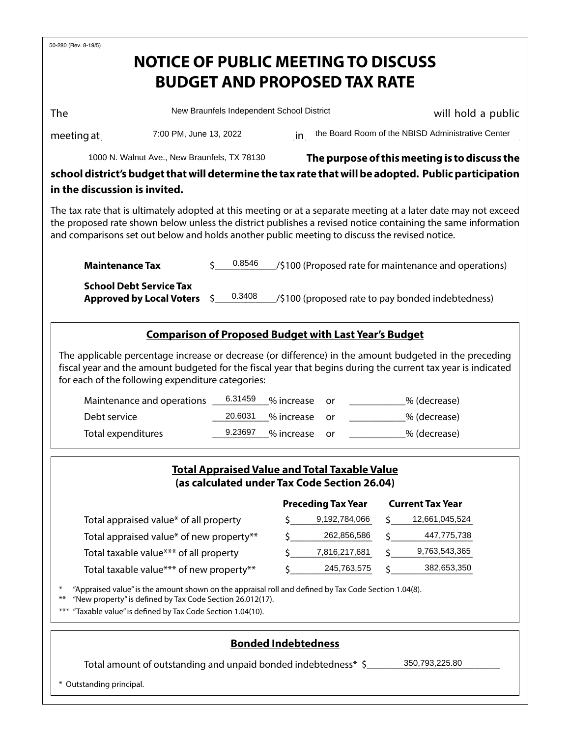| <b>The</b>                                                                                                                                                                                                                                                                                                                       |                                                                                                                                                                                                                                                                             | New Braunfels Independent School District                                                            |                                               |            |                              |   |                                                       | will hold a public |  |  |
|----------------------------------------------------------------------------------------------------------------------------------------------------------------------------------------------------------------------------------------------------------------------------------------------------------------------------------|-----------------------------------------------------------------------------------------------------------------------------------------------------------------------------------------------------------------------------------------------------------------------------|------------------------------------------------------------------------------------------------------|-----------------------------------------------|------------|------------------------------|---|-------------------------------------------------------|--------------------|--|--|
| meeting at $\_$                                                                                                                                                                                                                                                                                                                  | 7:00 PM, June 13, 2022                                                                                                                                                                                                                                                      |                                                                                                      |                                               |            |                              |   | in the Board Room of the NBISD Administrative Center  |                    |  |  |
| 1000 N. Walnut Ave., New Braunfels, TX 78130                                                                                                                                                                                                                                                                                     |                                                                                                                                                                                                                                                                             |                                                                                                      | The purpose of this meeting is to discuss the |            |                              |   |                                                       |                    |  |  |
| school district's budget that will determine the tax rate that will be adopted. Public participation<br>in the discussion is invited.                                                                                                                                                                                            |                                                                                                                                                                                                                                                                             |                                                                                                      |                                               |            |                              |   |                                                       |                    |  |  |
| The tax rate that is ultimately adopted at this meeting or at a separate meeting at a later date may not exceed<br>the proposed rate shown below unless the district publishes a revised notice containing the same information<br>and comparisons set out below and holds another public meeting to discuss the revised notice. |                                                                                                                                                                                                                                                                             |                                                                                                      |                                               |            |                              |   |                                                       |                    |  |  |
| <b>Maintenance Tax</b>                                                                                                                                                                                                                                                                                                           |                                                                                                                                                                                                                                                                             | 0.8546<br>Ś.                                                                                         |                                               |            |                              |   | /\$100 (Proposed rate for maintenance and operations) |                    |  |  |
|                                                                                                                                                                                                                                                                                                                                  | <b>School Debt Service Tax</b><br><b>Approved by Local Voters</b>                                                                                                                                                                                                           | 0.3408<br>\$.                                                                                        |                                               |            |                              |   | /\$100 (proposed rate to pay bonded indebtedness)     |                    |  |  |
|                                                                                                                                                                                                                                                                                                                                  | <b>Comparison of Proposed Budget with Last Year's Budget</b>                                                                                                                                                                                                                |                                                                                                      |                                               |            |                              |   |                                                       |                    |  |  |
|                                                                                                                                                                                                                                                                                                                                  | The applicable percentage increase or decrease (or difference) in the amount budgeted in the preceding<br>fiscal year and the amount budgeted for the fiscal year that begins during the current tax year is indicated<br>for each of the following expenditure categories: |                                                                                                      |                                               |            |                              |   |                                                       |                    |  |  |
|                                                                                                                                                                                                                                                                                                                                  | Maintenance and operations                                                                                                                                                                                                                                                  | 6.31459                                                                                              |                                               | % increase | or                           |   | _% (decrease)                                         |                    |  |  |
| Debt service                                                                                                                                                                                                                                                                                                                     | 20.6031                                                                                                                                                                                                                                                                     | % increase<br>_% (decrease)<br>or                                                                    |                                               |            |                              |   |                                                       |                    |  |  |
|                                                                                                                                                                                                                                                                                                                                  | 9.23697<br>Total expenditures<br>% increase<br>% (decrease)<br>or                                                                                                                                                                                                           |                                                                                                      |                                               |            |                              |   |                                                       |                    |  |  |
|                                                                                                                                                                                                                                                                                                                                  |                                                                                                                                                                                                                                                                             | <b>Total Appraised Value and Total Taxable Value</b><br>(as calculated under Tax Code Section 26.04) |                                               |            |                              |   |                                                       |                    |  |  |
|                                                                                                                                                                                                                                                                                                                                  | <b>Preceding Tax Year</b>                                                                                                                                                                                                                                                   |                                                                                                      |                                               |            |                              |   | <b>Current Tax Year</b>                               |                    |  |  |
|                                                                                                                                                                                                                                                                                                                                  | Total appraised value* of all property                                                                                                                                                                                                                                      |                                                                                                      | Ś                                             |            | 9,192,784,066                | S | 12,661,045,524                                        |                    |  |  |
|                                                                                                                                                                                                                                                                                                                                  |                                                                                                                                                                                                                                                                             | Total appraised value* of new property**                                                             |                                               |            |                              |   | 447,775,738                                           |                    |  |  |
|                                                                                                                                                                                                                                                                                                                                  |                                                                                                                                                                                                                                                                             |                                                                                                      |                                               |            |                              |   |                                                       |                    |  |  |
|                                                                                                                                                                                                                                                                                                                                  | Total taxable value*** of all property<br>Total taxable value*** of new property**                                                                                                                                                                                          |                                                                                                      |                                               |            | 7,816,217,681<br>245,763,575 |   | 9,763,543,365<br>382,653,350                          |                    |  |  |

## **Bonded Indebtedness**

Total amount of outstanding and unpaid bonded indebtedness\* \$\_\_\_\_\_\_\_\_\_\_\_\_\_\_\_\_\_\_\_\_

\* Outstanding principal.